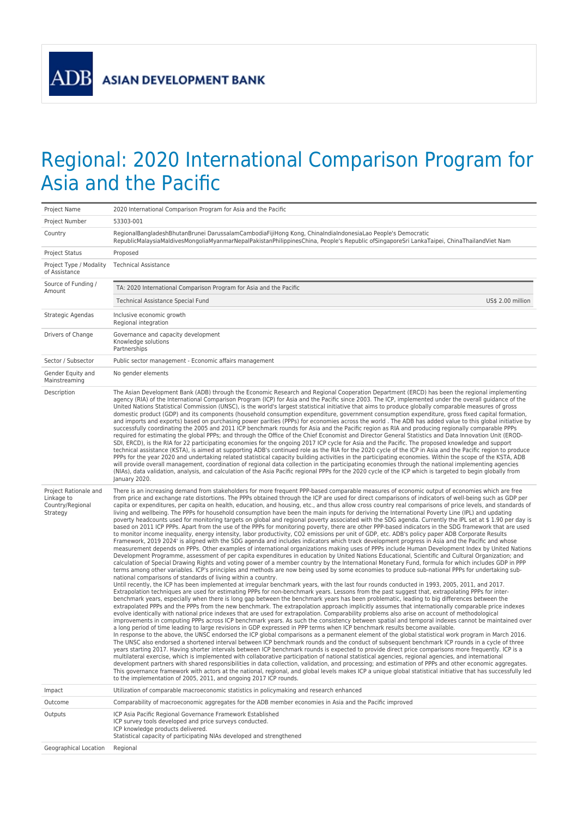**ADB** 

## Regional: 2020 International Comparison Program for Asia and the Pacific

| Project Name                                                        | 2020 International Comparison Program for Asia and the Pacific                                                                                                                                                                                                                                                                                                                                                                                                                                                                                                                                                                                                                                                                                                                                                                                                                                                                                                                                                                                                                                                                                                                                                                                                                                                                                                                                                                                                                                                                                                                                                                                                                                                                                                                                                                                                                                                                                                                                                                                                                                                                                                                                                                                                                                                                                                                                                                                                                                                                                                                                                                                                                                                                                                                                                                                                                                                                                                                                                                                                                                                                                                                                                                                                                                                                                                                                                                                                                                                                                                                                                                                                                                                                                                                                                                                                                                                                                         |  |  |
|---------------------------------------------------------------------|--------------------------------------------------------------------------------------------------------------------------------------------------------------------------------------------------------------------------------------------------------------------------------------------------------------------------------------------------------------------------------------------------------------------------------------------------------------------------------------------------------------------------------------------------------------------------------------------------------------------------------------------------------------------------------------------------------------------------------------------------------------------------------------------------------------------------------------------------------------------------------------------------------------------------------------------------------------------------------------------------------------------------------------------------------------------------------------------------------------------------------------------------------------------------------------------------------------------------------------------------------------------------------------------------------------------------------------------------------------------------------------------------------------------------------------------------------------------------------------------------------------------------------------------------------------------------------------------------------------------------------------------------------------------------------------------------------------------------------------------------------------------------------------------------------------------------------------------------------------------------------------------------------------------------------------------------------------------------------------------------------------------------------------------------------------------------------------------------------------------------------------------------------------------------------------------------------------------------------------------------------------------------------------------------------------------------------------------------------------------------------------------------------------------------------------------------------------------------------------------------------------------------------------------------------------------------------------------------------------------------------------------------------------------------------------------------------------------------------------------------------------------------------------------------------------------------------------------------------------------------------------------------------------------------------------------------------------------------------------------------------------------------------------------------------------------------------------------------------------------------------------------------------------------------------------------------------------------------------------------------------------------------------------------------------------------------------------------------------------------------------------------------------------------------------------------------------------------------------------------------------------------------------------------------------------------------------------------------------------------------------------------------------------------------------------------------------------------------------------------------------------------------------------------------------------------------------------------------------------------------------------------------------------------------------------------------------|--|--|
| Project Number                                                      | 53303-001                                                                                                                                                                                                                                                                                                                                                                                                                                                                                                                                                                                                                                                                                                                                                                                                                                                                                                                                                                                                                                                                                                                                                                                                                                                                                                                                                                                                                                                                                                                                                                                                                                                                                                                                                                                                                                                                                                                                                                                                                                                                                                                                                                                                                                                                                                                                                                                                                                                                                                                                                                                                                                                                                                                                                                                                                                                                                                                                                                                                                                                                                                                                                                                                                                                                                                                                                                                                                                                                                                                                                                                                                                                                                                                                                                                                                                                                                                                                              |  |  |
| Country                                                             | RegionalBangladeshBhutanBrunei DarussalamCambodiaFijiHong Kong, ChinaIndiaIndonesiaLao People's Democratic<br>RepublicMalaysiaMaldivesMongoliaMyanmarNepalPakistanPhilippinesChina, People's Republic ofSingaporeSri LankaTaipei, ChinaThailandViet Nam                                                                                                                                                                                                                                                                                                                                                                                                                                                                                                                                                                                                                                                                                                                                                                                                                                                                                                                                                                                                                                                                                                                                                                                                                                                                                                                                                                                                                                                                                                                                                                                                                                                                                                                                                                                                                                                                                                                                                                                                                                                                                                                                                                                                                                                                                                                                                                                                                                                                                                                                                                                                                                                                                                                                                                                                                                                                                                                                                                                                                                                                                                                                                                                                                                                                                                                                                                                                                                                                                                                                                                                                                                                                                                |  |  |
| Project Status                                                      | Proposed                                                                                                                                                                                                                                                                                                                                                                                                                                                                                                                                                                                                                                                                                                                                                                                                                                                                                                                                                                                                                                                                                                                                                                                                                                                                                                                                                                                                                                                                                                                                                                                                                                                                                                                                                                                                                                                                                                                                                                                                                                                                                                                                                                                                                                                                                                                                                                                                                                                                                                                                                                                                                                                                                                                                                                                                                                                                                                                                                                                                                                                                                                                                                                                                                                                                                                                                                                                                                                                                                                                                                                                                                                                                                                                                                                                                                                                                                                                                               |  |  |
| Project Type / Modality<br>of Assistance                            | <b>Technical Assistance</b>                                                                                                                                                                                                                                                                                                                                                                                                                                                                                                                                                                                                                                                                                                                                                                                                                                                                                                                                                                                                                                                                                                                                                                                                                                                                                                                                                                                                                                                                                                                                                                                                                                                                                                                                                                                                                                                                                                                                                                                                                                                                                                                                                                                                                                                                                                                                                                                                                                                                                                                                                                                                                                                                                                                                                                                                                                                                                                                                                                                                                                                                                                                                                                                                                                                                                                                                                                                                                                                                                                                                                                                                                                                                                                                                                                                                                                                                                                                            |  |  |
| Source of Funding /<br>Amount                                       | TA: 2020 International Comparison Program for Asia and the Pacific                                                                                                                                                                                                                                                                                                                                                                                                                                                                                                                                                                                                                                                                                                                                                                                                                                                                                                                                                                                                                                                                                                                                                                                                                                                                                                                                                                                                                                                                                                                                                                                                                                                                                                                                                                                                                                                                                                                                                                                                                                                                                                                                                                                                                                                                                                                                                                                                                                                                                                                                                                                                                                                                                                                                                                                                                                                                                                                                                                                                                                                                                                                                                                                                                                                                                                                                                                                                                                                                                                                                                                                                                                                                                                                                                                                                                                                                                     |  |  |
|                                                                     | US\$ 2.00 million<br>Technical Assistance Special Fund                                                                                                                                                                                                                                                                                                                                                                                                                                                                                                                                                                                                                                                                                                                                                                                                                                                                                                                                                                                                                                                                                                                                                                                                                                                                                                                                                                                                                                                                                                                                                                                                                                                                                                                                                                                                                                                                                                                                                                                                                                                                                                                                                                                                                                                                                                                                                                                                                                                                                                                                                                                                                                                                                                                                                                                                                                                                                                                                                                                                                                                                                                                                                                                                                                                                                                                                                                                                                                                                                                                                                                                                                                                                                                                                                                                                                                                                                                 |  |  |
| Strategic Agendas                                                   | Inclusive economic growth<br>Regional integration                                                                                                                                                                                                                                                                                                                                                                                                                                                                                                                                                                                                                                                                                                                                                                                                                                                                                                                                                                                                                                                                                                                                                                                                                                                                                                                                                                                                                                                                                                                                                                                                                                                                                                                                                                                                                                                                                                                                                                                                                                                                                                                                                                                                                                                                                                                                                                                                                                                                                                                                                                                                                                                                                                                                                                                                                                                                                                                                                                                                                                                                                                                                                                                                                                                                                                                                                                                                                                                                                                                                                                                                                                                                                                                                                                                                                                                                                                      |  |  |
| Drivers of Change                                                   | Governance and capacity development<br>Knowledge solutions<br>Partnerships                                                                                                                                                                                                                                                                                                                                                                                                                                                                                                                                                                                                                                                                                                                                                                                                                                                                                                                                                                                                                                                                                                                                                                                                                                                                                                                                                                                                                                                                                                                                                                                                                                                                                                                                                                                                                                                                                                                                                                                                                                                                                                                                                                                                                                                                                                                                                                                                                                                                                                                                                                                                                                                                                                                                                                                                                                                                                                                                                                                                                                                                                                                                                                                                                                                                                                                                                                                                                                                                                                                                                                                                                                                                                                                                                                                                                                                                             |  |  |
| Sector / Subsector                                                  | Public sector management - Economic affairs management                                                                                                                                                                                                                                                                                                                                                                                                                                                                                                                                                                                                                                                                                                                                                                                                                                                                                                                                                                                                                                                                                                                                                                                                                                                                                                                                                                                                                                                                                                                                                                                                                                                                                                                                                                                                                                                                                                                                                                                                                                                                                                                                                                                                                                                                                                                                                                                                                                                                                                                                                                                                                                                                                                                                                                                                                                                                                                                                                                                                                                                                                                                                                                                                                                                                                                                                                                                                                                                                                                                                                                                                                                                                                                                                                                                                                                                                                                 |  |  |
| Gender Equity and<br>Mainstreaming                                  | No gender elements                                                                                                                                                                                                                                                                                                                                                                                                                                                                                                                                                                                                                                                                                                                                                                                                                                                                                                                                                                                                                                                                                                                                                                                                                                                                                                                                                                                                                                                                                                                                                                                                                                                                                                                                                                                                                                                                                                                                                                                                                                                                                                                                                                                                                                                                                                                                                                                                                                                                                                                                                                                                                                                                                                                                                                                                                                                                                                                                                                                                                                                                                                                                                                                                                                                                                                                                                                                                                                                                                                                                                                                                                                                                                                                                                                                                                                                                                                                                     |  |  |
| Description                                                         | The Asian Development Bank (ADB) through the Economic Research and Regional Cooperation Department (ERCD) has been the regional implementing<br>agency (RIA) of the International Comparison Program (ICP) for Asia and the Pacific since 2003. The ICP, implemented under the overall guidance of the<br>United Nations Statistical Commission (UNSC), is the world's largest statistical initiative that aims to produce globally comparable measures of gross<br>domestic product (GDP) and its components (household consumption expenditure, government consumption expenditure, gross fixed capital formation,<br>and imports and exports) based on purchasing power parities (PPPs) for economies across the world. The ADB has added value to this global initiative by<br>successfully coordinating the 2005 and 2011 ICP benchmark rounds for Asia and the Pacific region as RIA and producing regionally comparable PPPs<br>required for estimating the global PPPs; and through the Office of the Chief Economist and Director General Statistics and Data Innovation Unit (EROD-<br>SDI, ERCD), is the RIA for 22 participating economies for the ongoing 2017 ICP cycle for Asia and the Pacific. The proposed knowledge and support<br>technical assistance (KSTA), is aimed at supporting ADB's continued role as the RIA for the 2020 cycle of the ICP in Asia and the Pacific region to produce<br>PPPs for the year 2020 and undertaking related statistical capacity building activities in the participating economies. Within the scope of the KSTA, ADB<br>will provide overall management, coordination of regional data collection in the participating economies through the national implementing agencies<br>(NIAs), data validation, analysis, and calculation of the Asia Pacific regional PPPs for the 2020 cycle of the ICP which is targeted to begin globally from<br>January 2020.                                                                                                                                                                                                                                                                                                                                                                                                                                                                                                                                                                                                                                                                                                                                                                                                                                                                                                                                                                                                                                                                                                                                                                                                                                                                                                                                                                                                                                                                                                                                                                                                                                                                                                                                                                                                                                                                                                                                                                                                                                  |  |  |
| Project Rationale and<br>Linkage to<br>Country/Regional<br>Strategy | There is an increasing demand from stakeholders for more frequent PPP-based comparable measures of economic output of economies which are free<br>from price and exchange rate distortions. The PPPs obtained through the ICP are used for direct comparisons of indicators of well-being such as GDP per<br>capita or expenditures, per capita on health, education, and housing, etc., and thus allow cross country real comparisons of price levels, and standards of<br>living and wellbeing. The PPPs for household consumption have been the main inputs for deriving the International Poverty Line (IPL) and updating<br>poverty headcounts used for monitoring targets on global and regional poverty associated with the SDG agenda. Currently the IPL set at \$1.90 per day is<br>based on 2011 ICP PPPs. Apart from the use of the PPPs for monitoring poverty, there are other PPP-based indicators in the SDG framework that are used<br>to monitor income inequality, energy intensity, labor productivity, CO2 emissions per unit of GDP, etc. ADB's policy paper ADB Corporate Results<br>Framework, 2019 2024' is aligned with the SDG agenda and includes indicators which track development progress in Asia and the Pacific and whose<br>measurement depends on PPPs. Other examples of international organizations making uses of PPPs include Human Development Index by United Nations<br>Development Programme, assessment of per capita expenditures in education by United Nations Educational, Scientific and Cultural Organization; and<br>calculation of Special Drawing Rights and voting power of a member country by the International Monetary Fund, formula for which includes GDP in PPP<br>terms among other variables. ICP's principles and methods are now being used by some economies to produce sub-national PPPs for undertaking sub-<br>national comparisons of standards of living within a country.<br>Until recently, the ICP has been implemented at irregular benchmark years, with the last four rounds conducted in 1993, 2005, 2011, and 2017.<br>Extrapolation techniques are used for estimating PPPs for non-benchmark years. Lessons from the past suggest that, extrapolating PPPs for inter-<br>benchmark years, especially when there is long gap between the benchmark years has been problematic, leading to big differences between the<br>extrapolated PPPs and the PPPs from the new benchmark. The extrapolation approach implicitly assumes that internationally comparable price indexes<br>evolve identically with national price indexes that are used for extrapolation. Comparability problems also arise on account of methodological<br>improvements in computing PPPs across ICP benchmark years. As such the consistency between spatial and temporal indexes cannot be maintained over<br>a long period of time leading to large revisions in GDP expressed in PPP terms when ICP benchmark results become available.<br>In response to the above, the UNSC endorsed the ICP global comparisons as a permanent element of the global statistical work program in March 2016.<br>The UNSC also endorsed a shortened interval between ICP benchmark rounds and the conduct of subsequent benchmark ICP rounds in a cycle of three<br>years starting 2017. Having shorter intervals between ICP benchmark rounds is expected to provide direct price comparisons more frequently. ICP is a<br>multilateral exercise, which is implemented with collaborative participation of national statistical agencies, regional agencies, and international<br>development partners with shared responsibilities in data collection, validation, and processing; and estimation of PPPs and other economic aggregates.<br>This governance framework with actors at the national, regional, and global levels makes ICP a unique global statistical initiative that has successfully led |  |  |
| Impact                                                              | to the implementation of 2005, 2011, and ongoing 2017 ICP rounds.<br>Utilization of comparable macroeconomic statistics in policymaking and research enhanced                                                                                                                                                                                                                                                                                                                                                                                                                                                                                                                                                                                                                                                                                                                                                                                                                                                                                                                                                                                                                                                                                                                                                                                                                                                                                                                                                                                                                                                                                                                                                                                                                                                                                                                                                                                                                                                                                                                                                                                                                                                                                                                                                                                                                                                                                                                                                                                                                                                                                                                                                                                                                                                                                                                                                                                                                                                                                                                                                                                                                                                                                                                                                                                                                                                                                                                                                                                                                                                                                                                                                                                                                                                                                                                                                                                          |  |  |
| Outcome                                                             | Comparability of macroeconomic aggregates for the ADB member economies in Asia and the Pacific improved                                                                                                                                                                                                                                                                                                                                                                                                                                                                                                                                                                                                                                                                                                                                                                                                                                                                                                                                                                                                                                                                                                                                                                                                                                                                                                                                                                                                                                                                                                                                                                                                                                                                                                                                                                                                                                                                                                                                                                                                                                                                                                                                                                                                                                                                                                                                                                                                                                                                                                                                                                                                                                                                                                                                                                                                                                                                                                                                                                                                                                                                                                                                                                                                                                                                                                                                                                                                                                                                                                                                                                                                                                                                                                                                                                                                                                                |  |  |
| Outputs                                                             | ICP Asia Pacific Regional Governance Framework Established<br>ICP survey tools developed and price surveys conducted.<br>ICP knowledge products delivered.<br>Statistical capacity of participating NIAs developed and strengthened                                                                                                                                                                                                                                                                                                                                                                                                                                                                                                                                                                                                                                                                                                                                                                                                                                                                                                                                                                                                                                                                                                                                                                                                                                                                                                                                                                                                                                                                                                                                                                                                                                                                                                                                                                                                                                                                                                                                                                                                                                                                                                                                                                                                                                                                                                                                                                                                                                                                                                                                                                                                                                                                                                                                                                                                                                                                                                                                                                                                                                                                                                                                                                                                                                                                                                                                                                                                                                                                                                                                                                                                                                                                                                                    |  |  |
| Geographical Location                                               | Regional                                                                                                                                                                                                                                                                                                                                                                                                                                                                                                                                                                                                                                                                                                                                                                                                                                                                                                                                                                                                                                                                                                                                                                                                                                                                                                                                                                                                                                                                                                                                                                                                                                                                                                                                                                                                                                                                                                                                                                                                                                                                                                                                                                                                                                                                                                                                                                                                                                                                                                                                                                                                                                                                                                                                                                                                                                                                                                                                                                                                                                                                                                                                                                                                                                                                                                                                                                                                                                                                                                                                                                                                                                                                                                                                                                                                                                                                                                                                               |  |  |